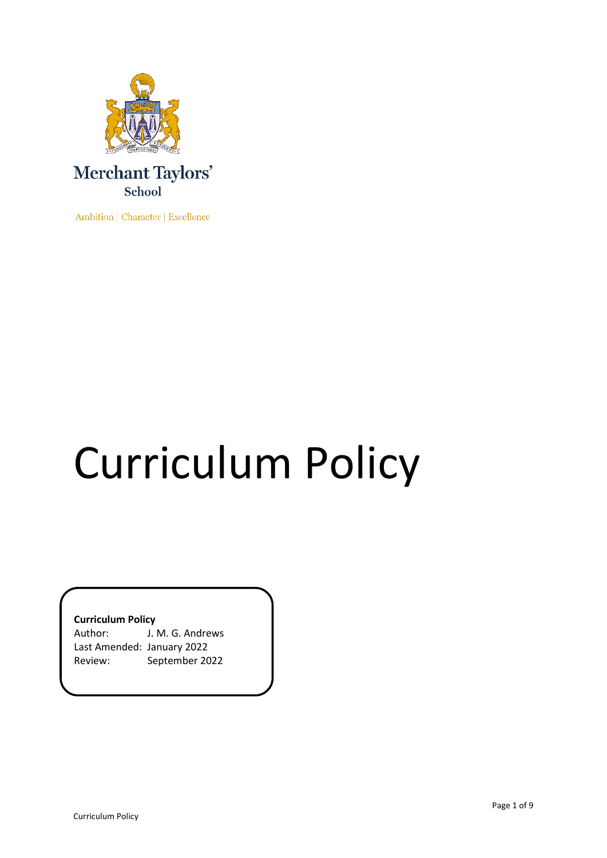

Ambition | Character | Excellence

# Curriculum Policy

**Curriculum Policy**

Author: J. M. G. Andrews Last Amended: January 2022 Review: September 2022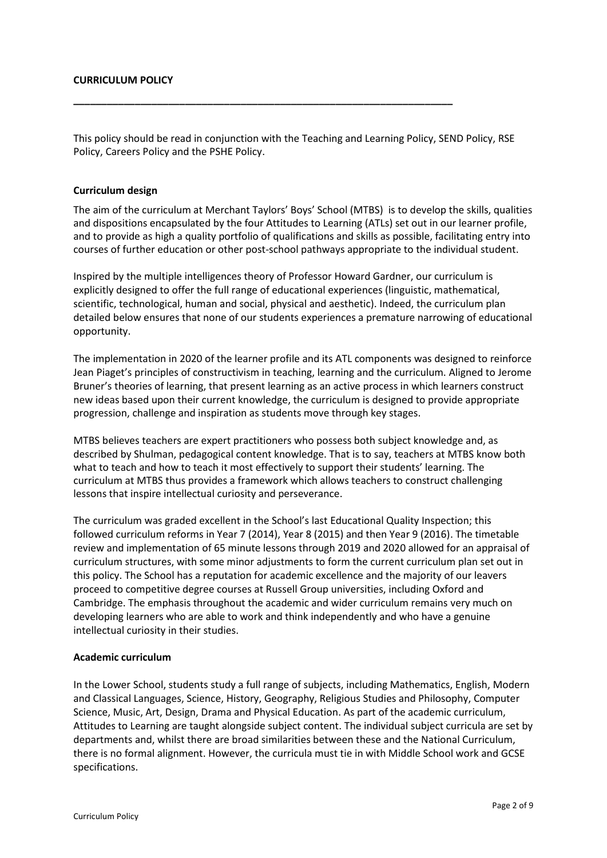#### **CURRICULUM POLICY**

This policy should be read in conjunction with the Teaching and Learning Policy, SEND Policy, RSE Policy, Careers Policy and the PSHE Policy.

**\_\_\_\_\_\_\_\_\_\_\_\_\_\_\_\_\_\_\_\_\_\_\_\_\_\_\_\_\_\_\_\_\_\_\_\_\_\_\_\_\_\_\_\_\_\_\_\_\_\_\_\_\_\_\_\_\_\_\_\_\_\_\_\_\_\_\_\_**

#### **Curriculum design**

The aim of the curriculum at Merchant Taylors' Boys' School (MTBS) is to develop the skills, qualities and dispositions encapsulated by the four Attitudes to Learning (ATLs) set out in our learner profile, and to provide as high a quality portfolio of qualifications and skills as possible, facilitating entry into courses of further education or other post-school pathways appropriate to the individual student.

Inspired by the multiple intelligences theory of Professor Howard Gardner, our curriculum is explicitly designed to offer the full range of educational experiences (linguistic, mathematical, scientific, technological, human and social, physical and aesthetic). Indeed, the curriculum plan detailed below ensures that none of our students experiences a premature narrowing of educational opportunity.

The implementation in 2020 of the learner profile and its ATL components was designed to reinforce Jean Piaget's principles of constructivism in teaching, learning and the curriculum. Aligned to Jerome Bruner's theories of learning, that present learning as an active process in which learners construct new ideas based upon their current knowledge, the curriculum is designed to provide appropriate progression, challenge and inspiration as students move through key stages.

MTBS believes teachers are expert practitioners who possess both subject knowledge and, as described by Shulman, pedagogical content knowledge. That is to say, teachers at MTBS know both what to teach and how to teach it most effectively to support their students' learning. The curriculum at MTBS thus provides a framework which allows teachers to construct challenging lessons that inspire intellectual curiosity and perseverance.

The curriculum was graded excellent in the School's last Educational Quality Inspection; this followed curriculum reforms in Year 7 (2014), Year 8 (2015) and then Year 9 (2016). The timetable review and implementation of 65 minute lessons through 2019 and 2020 allowed for an appraisal of curriculum structures, with some minor adjustments to form the current curriculum plan set out in this policy. The School has a reputation for academic excellence and the majority of our leavers proceed to competitive degree courses at Russell Group universities, including Oxford and Cambridge. The emphasis throughout the academic and wider curriculum remains very much on developing learners who are able to work and think independently and who have a genuine intellectual curiosity in their studies.

#### **Academic curriculum**

In the Lower School, students study a full range of subjects, including Mathematics, English, Modern and Classical Languages, Science, History, Geography, Religious Studies and Philosophy, Computer Science, Music, Art, Design, Drama and Physical Education. As part of the academic curriculum, Attitudes to Learning are taught alongside subject content. The individual subject curricula are set by departments and, whilst there are broad similarities between these and the National Curriculum, there is no formal alignment. However, the curricula must tie in with Middle School work and GCSE specifications.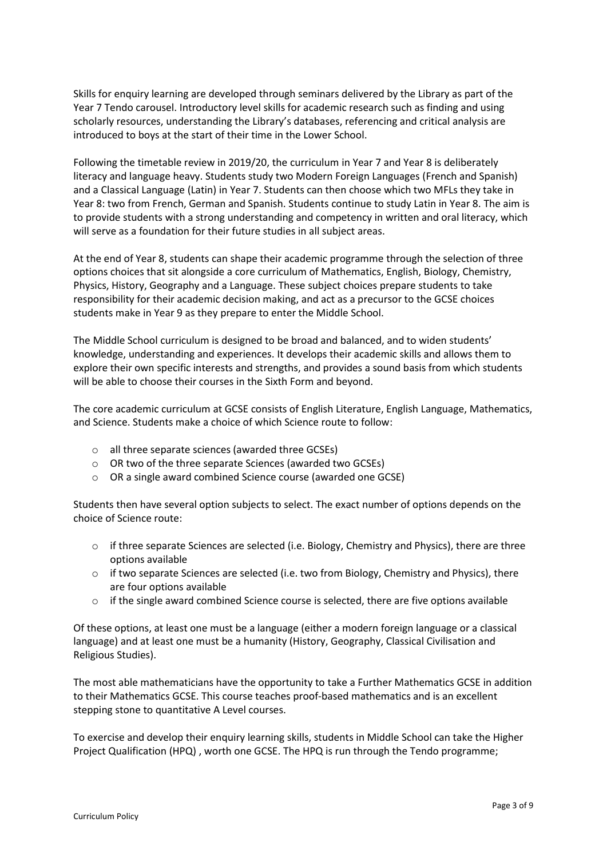Skills for enquiry learning are developed through seminars delivered by the Library as part of the Year 7 Tendo carousel. Introductory level skills for academic research such as finding and using scholarly resources, understanding the Library's databases, referencing and critical analysis are introduced to boys at the start of their time in the Lower School.

Following the timetable review in 2019/20, the curriculum in Year 7 and Year 8 is deliberately literacy and language heavy. Students study two Modern Foreign Languages (French and Spanish) and a Classical Language (Latin) in Year 7. Students can then choose which two MFLs they take in Year 8: two from French, German and Spanish. Students continue to study Latin in Year 8. The aim is to provide students with a strong understanding and competency in written and oral literacy, which will serve as a foundation for their future studies in all subject areas.

At the end of Year 8, students can shape their academic programme through the selection of three options choices that sit alongside a core curriculum of Mathematics, English, Biology, Chemistry, Physics, History, Geography and a Language. These subject choices prepare students to take responsibility for their academic decision making, and act as a precursor to the GCSE choices students make in Year 9 as they prepare to enter the Middle School.

The Middle School curriculum is designed to be broad and balanced, and to widen students' knowledge, understanding and experiences. It develops their academic skills and allows them to explore their own specific interests and strengths, and provides a sound basis from which students will be able to choose their courses in the Sixth Form and beyond.

The core academic curriculum at GCSE consists of English Literature, English Language, Mathematics, and Science. Students make a choice of which Science route to follow:

- o all three separate sciences (awarded three GCSEs)
- o OR two of the three separate Sciences (awarded two GCSEs)
- o OR a single award combined Science course (awarded one GCSE)

Students then have several option subjects to select. The exact number of options depends on the choice of Science route:

- o if three separate Sciences are selected (i.e. Biology, Chemistry and Physics), there are three options available
- o if two separate Sciences are selected (i.e. two from Biology, Chemistry and Physics), there are four options available
- $\circ$  if the single award combined Science course is selected, there are five options available

Of these options, at least one must be a language (either a modern foreign language or a classical language) and at least one must be a humanity (History, Geography, Classical Civilisation and Religious Studies).

The most able mathematicians have the opportunity to take a Further Mathematics GCSE in addition to their Mathematics GCSE. This course teaches proof-based mathematics and is an excellent stepping stone to quantitative A Level courses.

To exercise and develop their enquiry learning skills, students in Middle School can take the Higher Project Qualification (HPQ) , worth one GCSE. The HPQ is run through the Tendo programme;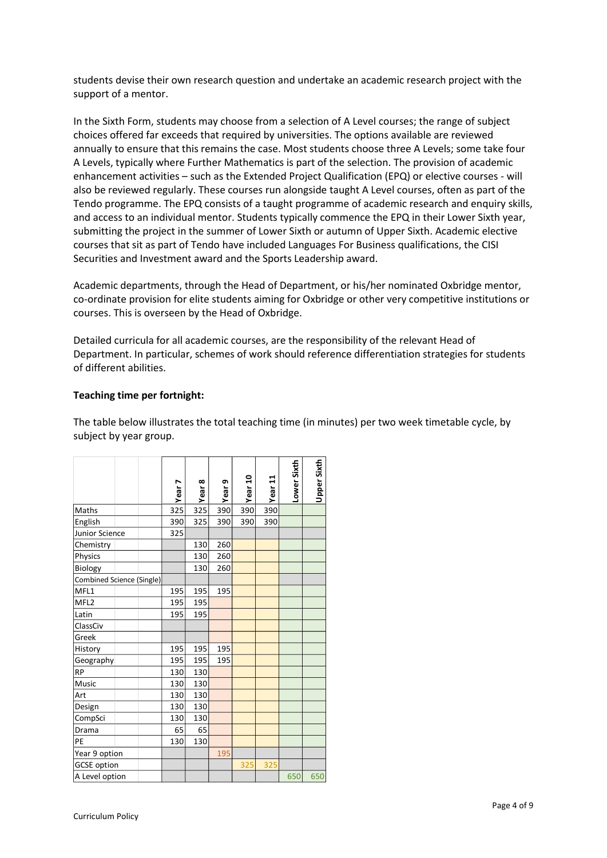students devise their own research question and undertake an academic research project with the support of a mentor.

In the Sixth Form, students may choose from a selection of A Level courses; the range of subject choices offered far exceeds that required by universities. The options available are reviewed annually to ensure that this remains the case. Most students choose three A Levels; some take four A Levels, typically where Further Mathematics is part of the selection. The provision of academic enhancement activities – such as the Extended Project Qualification (EPQ) or elective courses - will also be reviewed regularly. These courses run alongside taught A Level courses, often as part of the Tendo programme. The EPQ consists of a taught programme of academic research and enquiry skills, and access to an individual mentor. Students typically commence the EPQ in their Lower Sixth year, submitting the project in the summer of Lower Sixth or autumn of Upper Sixth. Academic elective courses that sit as part of Tendo have included Languages For Business qualifications, the CISI Securities and Investment award and the Sports Leadership award.

Academic departments, through the Head of Department, or his/her nominated Oxbridge mentor, co-ordinate provision for elite students aiming for Oxbridge or other very competitive institutions or courses. This is overseen by the Head of Oxbridge.

Detailed curricula for all academic courses, are the responsibility of the relevant Head of Department. In particular, schemes of work should reference differentiation strategies for students of different abilities.

# **Teaching time per fortnight:**

The table below illustrates the total teaching time (in minutes) per two week timetable cycle, by subject by year group.

|                           |  |  | Year 7 | Year 8 | Year <sub>9</sub> | Year 10 | Year 11 | Lower Sixth | Upper Sixth |
|---------------------------|--|--|--------|--------|-------------------|---------|---------|-------------|-------------|
| Maths                     |  |  | 325    | 325    | 390               | 390     | 390     |             |             |
| English                   |  |  | 390    | 325    | 390               | 390     | 390     |             |             |
| Junior Science            |  |  | 325    |        |                   |         |         |             |             |
| Chemistry                 |  |  |        | 130    | 260               |         |         |             |             |
| Physics                   |  |  |        | 130    | 260               |         |         |             |             |
| Biology                   |  |  |        | 130    | 260               |         |         |             |             |
| Combined Science (Single) |  |  |        |        |                   |         |         |             |             |
| MFL1                      |  |  | 195    | 195    | 195               |         |         |             |             |
| MFL <sub>2</sub>          |  |  | 195    | 195    |                   |         |         |             |             |
| Latin                     |  |  | 195    | 195    |                   |         |         |             |             |
| ClassCiv                  |  |  |        |        |                   |         |         |             |             |
| Greek                     |  |  |        |        |                   |         |         |             |             |
| History                   |  |  | 195    | 195    | 195               |         |         |             |             |
| Geography                 |  |  | 195    | 195    | 195               |         |         |             |             |
| <b>RP</b>                 |  |  | 130    | 130    |                   |         |         |             |             |
| Music                     |  |  | 130    | 130    |                   |         |         |             |             |
| Art                       |  |  | 130    | 130    |                   |         |         |             |             |
| Design                    |  |  | 130    | 130    |                   |         |         |             |             |
| CompSci                   |  |  | 130    | 130    |                   |         |         |             |             |
| Drama                     |  |  | 65     | 65     |                   |         |         |             |             |
| PE                        |  |  | 130    | 130    |                   |         |         |             |             |
| Year 9 option             |  |  |        | 195    |                   |         |         |             |             |
| <b>GCSE</b> option        |  |  |        |        | 325               | 325     |         |             |             |
| A Level option            |  |  |        |        |                   |         |         | 650         | 650         |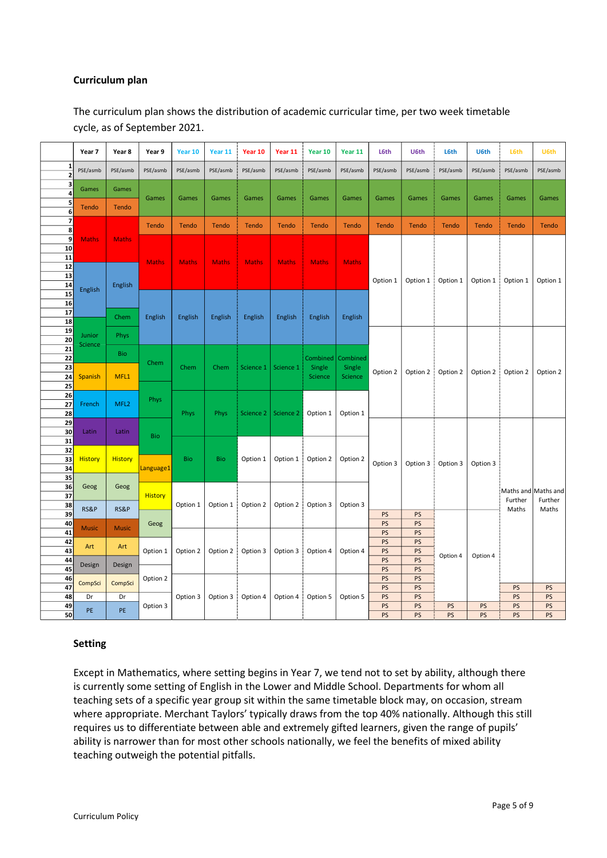## **Curriculum plan**

The curriculum plan shows the distribution of academic curricular time, per two week timetable cycle, as of September 2021.

|                              | Year 7            | Year 8                         | Year 9                                             | Year 10    | Year 11      | Year 10      | Year 11      | Year 10                       | Year 11                       | L6th                 | U6th         | <b>L6th</b> | U6th         | L6th                                    | U6th     |    |  |  |    |
|------------------------------|-------------------|--------------------------------|----------------------------------------------------|------------|--------------|--------------|--------------|-------------------------------|-------------------------------|----------------------|--------------|-------------|--------------|-----------------------------------------|----------|----|--|--|----|
| 1<br>$\overline{\mathbf{c}}$ | PSE/asmb          | PSE/asmb                       | PSE/asmb                                           | PSE/asmb   | PSE/asmb     | PSE/asmb     | PSE/asmb     | PSE/asmb                      | PSE/asmb                      | PSE/asmb             | PSE/asmb     | PSE/asmb    | PSE/asmb     | PSE/asmb                                | PSE/asmb |    |  |  |    |
| 3<br>4                       | Games             | Games                          |                                                    |            |              |              |              |                               |                               |                      |              |             |              |                                         |          |    |  |  |    |
| 5                            | Tendo             | Tendo                          | Games                                              | Games      | Games        | Games        | Games        | Games                         | Games                         | Games                | Games        | Games       | Games        | Games                                   | Games    |    |  |  |    |
| 6                            |                   |                                |                                                    |            |              |              |              |                               |                               |                      |              |             |              |                                         |          |    |  |  |    |
| $\overline{\mathbf{z}}$<br>8 |                   |                                | Tendo                                              | Tendo      | <b>Tendo</b> | Tendo        | Tendo        | <b>Tendo</b>                  | Tendo                         | <b>Tendo</b>         | <b>Tendo</b> | Tendo       | <b>Tendo</b> | <b>Tendo</b>                            | Tendo    |    |  |  |    |
| 9                            | <b>Maths</b>      | <b>Maths</b>                   |                                                    |            |              |              |              |                               |                               |                      |              |             |              |                                         |          |    |  |  |    |
| 10                           |                   |                                |                                                    |            |              |              |              |                               |                               |                      |              |             |              |                                         |          |    |  |  |    |
| 11<br>12                     |                   |                                | <b>Maths</b><br><b>Maths</b><br>English<br>English |            | <b>Maths</b> | <b>Maths</b> | <b>Maths</b> | <b>Maths</b>                  | <b>Maths</b>                  |                      |              | Option 1    | Option 1     | Option 1                                | Option 1 |    |  |  |    |
| 13                           |                   | English                        |                                                    |            |              |              |              |                               |                               |                      |              |             |              |                                         |          |    |  |  |    |
| 14                           | English           |                                |                                                    |            |              |              |              |                               |                               | Option 1             | Option 1     |             |              |                                         |          |    |  |  |    |
| 15                           |                   |                                |                                                    |            | English      | English      | English      | English                       | English                       |                      |              |             |              |                                         |          |    |  |  |    |
| 16<br>17                     |                   |                                |                                                    |            |              |              |              |                               |                               |                      |              |             |              |                                         |          |    |  |  |    |
| $\overline{18}$              |                   | Chem                           |                                                    |            |              |              |              |                               |                               |                      |              |             |              |                                         |          |    |  |  |    |
| 19                           |                   |                                |                                                    |            |              |              |              |                               |                               |                      |              |             |              |                                         |          |    |  |  |    |
| 20                           | Junior<br>Science | Phys                           |                                                    |            |              |              |              |                               |                               |                      |              |             |              |                                         |          |    |  |  |    |
| 21<br>22                     |                   | Bio                            |                                                    | Chem       | Chem         | Science 1    | Science 1    | Combined<br>Single<br>Science | Combined<br>Single<br>Science |                      |              | Option 2    | Option 2     | Option 2                                | Option 2 |    |  |  |    |
| 23                           |                   | MFL1                           | Chem                                               |            |              |              |              |                               |                               |                      | Option 2     |             |              |                                         |          |    |  |  |    |
| 24                           | <b>Spanish</b>    |                                |                                                    |            |              |              |              |                               |                               | Option 2             |              |             |              |                                         |          |    |  |  |    |
| 25                           |                   |                                | Phys                                               |            |              |              |              |                               |                               |                      |              |             |              |                                         |          |    |  |  |    |
| 26<br>27                     | French            | MFL <sub>2</sub>               |                                                    | Phys       | Phys         | Science 2    | Science 2    | Option 1                      | Option 1                      |                      |              |             |              |                                         |          |    |  |  |    |
| 28                           |                   |                                |                                                    |            |              |              |              |                               |                               | Option 3<br>Option 3 |              |             |              |                                         |          |    |  |  |    |
| 29                           |                   |                                |                                                    |            |              |              |              |                               |                               |                      |              |             |              |                                         |          |    |  |  |    |
| 30                           | Latin             | Latin                          | <b>Bio</b>                                         | <b>Bio</b> | Bio          | Option 1     | Option 1     | Option 2                      | Option 2                      |                      |              |             |              |                                         |          |    |  |  |    |
| 31<br>32                     |                   |                                |                                                    |            |              |              |              |                               |                               |                      |              |             |              |                                         |          |    |  |  |    |
| 33                           | <b>History</b>    | <b>History</b>                 | Language1                                          |            |              |              |              |                               |                               |                      | Option 3     |             | Option 3     | Maths and Maths and<br>Further<br>Maths |          |    |  |  |    |
| 34                           |                   |                                |                                                    |            |              |              |              |                               |                               |                      |              |             |              |                                         |          |    |  |  |    |
| 35                           |                   | Geog                           | <b>History</b><br>RS&P<br>Geog                     |            |              |              |              |                               |                               |                      |              |             |              |                                         |          |    |  |  |    |
| 36<br>$\overline{37}$        | Geog              |                                |                                                    | Option 1   | Option 1     | Option 2     | Option 2     | Option 3                      | Option 3                      |                      |              |             |              |                                         |          |    |  |  |    |
| 38                           |                   |                                |                                                    |            |              |              |              |                               |                               |                      |              |             |              |                                         | Further  |    |  |  |    |
| $\overline{39}$              | RS&P              |                                |                                                    |            |              |              |              |                               |                               | PS                   | PS           |             |              |                                         | Maths    |    |  |  |    |
| 40                           | <b>Music</b>      | <b>Music</b>                   |                                                    |            |              |              |              |                               |                               | PS                   | PS           | Option 4    |              |                                         |          |    |  |  |    |
| 41<br>42                     |                   | Art<br>Design<br>CompSci<br>Dr | Option 1                                           | Option 2   | Option 2     | Option 3     |              |                               |                               | PS<br>PS             | PS<br>PS     |             |              |                                         |          |    |  |  |    |
| 43                           | Art               |                                |                                                    |            |              |              | Option 3     | Option 4                      | Option 4                      | PS                   | PS           |             |              |                                         |          |    |  |  |    |
| 44                           | Design            |                                |                                                    |            |              |              |              |                               |                               | PS                   | PS           |             | Option 4     |                                         |          |    |  |  |    |
|                              | 45                |                                |                                                    |            |              |              |              |                               |                               | PS                   | PS           |             |              |                                         |          |    |  |  |    |
| 47                           | 46<br>CompSci     |                                | Option 2                                           |            |              |              |              |                               |                               | PS<br>PS             | PS<br>PS     |             |              | PS                                      | PS       |    |  |  |    |
| 48                           | Dr                |                                |                                                    |            |              |              |              |                               | Option 3                      | Option 3             | Option 4     | Option 4    | Option 5     | Option 5                                | PS       | PS |  |  | PS |
| 49                           | PE                | <b>PE</b>                      | Option 3                                           |            |              |              |              |                               |                               | PS                   | PS           | PS          | PS           | PS                                      | PS       |    |  |  |    |
| 50l                          |                   |                                |                                                    |            |              |              |              |                               |                               | <b>PS</b>            | Pς           | PS          | PS           | Pς                                      | Pς       |    |  |  |    |

# **Setting**

Except in Mathematics, where setting begins in Year 7, we tend not to set by ability, although there is currently some setting of English in the Lower and Middle School. Departments for whom all teaching sets of a specific year group sit within the same timetable block may, on occasion, stream where appropriate. Merchant Taylors' typically draws from the top 40% nationally. Although this still requires us to differentiate between able and extremely gifted learners, given the range of pupils' ability is narrower than for most other schools nationally, we feel the benefits of mixed ability teaching outweigh the potential pitfalls.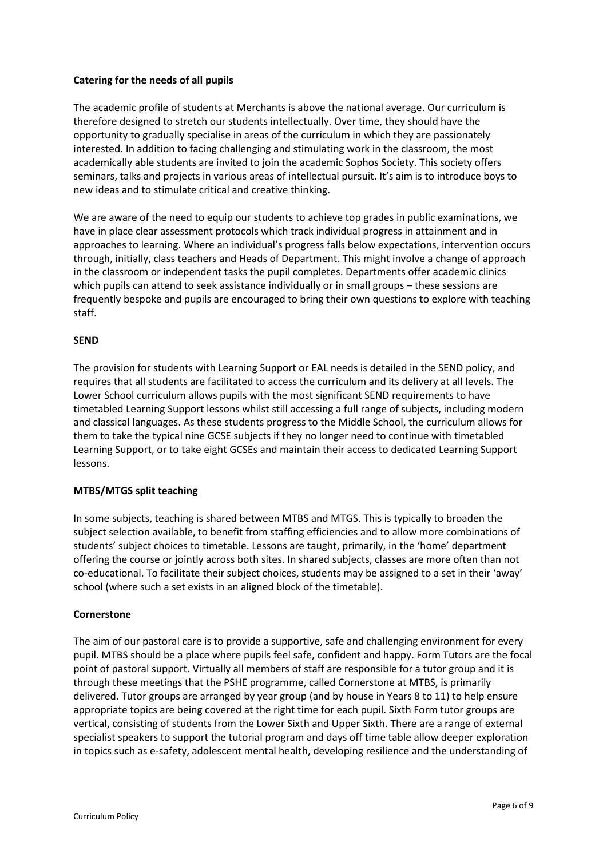# **Catering for the needs of all pupils**

The academic profile of students at Merchants is above the national average. Our curriculum is therefore designed to stretch our students intellectually. Over time, they should have the opportunity to gradually specialise in areas of the curriculum in which they are passionately interested. In addition to facing challenging and stimulating work in the classroom, the most academically able students are invited to join the academic Sophos Society. This society offers seminars, talks and projects in various areas of intellectual pursuit. It's aim is to introduce boys to new ideas and to stimulate critical and creative thinking.

We are aware of the need to equip our students to achieve top grades in public examinations, we have in place clear assessment protocols which track individual progress in attainment and in approaches to learning. Where an individual's progress falls below expectations, intervention occurs through, initially, class teachers and Heads of Department. This might involve a change of approach in the classroom or independent tasks the pupil completes. Departments offer academic clinics which pupils can attend to seek assistance individually or in small groups – these sessions are frequently bespoke and pupils are encouraged to bring their own questions to explore with teaching staff.

# **SEND**

The provision for students with Learning Support or EAL needs is detailed in the SEND policy, and requires that all students are facilitated to access the curriculum and its delivery at all levels. The Lower School curriculum allows pupils with the most significant SEND requirements to have timetabled Learning Support lessons whilst still accessing a full range of subjects, including modern and classical languages. As these students progress to the Middle School, the curriculum allows for them to take the typical nine GCSE subjects if they no longer need to continue with timetabled Learning Support, or to take eight GCSEs and maintain their access to dedicated Learning Support lessons.

# **MTBS/MTGS split teaching**

In some subjects, teaching is shared between MTBS and MTGS. This is typically to broaden the subject selection available, to benefit from staffing efficiencies and to allow more combinations of students' subject choices to timetable. Lessons are taught, primarily, in the 'home' department offering the course or jointly across both sites. In shared subjects, classes are more often than not co-educational. To facilitate their subject choices, students may be assigned to a set in their 'away' school (where such a set exists in an aligned block of the timetable).

# **Cornerstone**

The aim of our pastoral care is to provide a supportive, safe and challenging environment for every pupil. MTBS should be a place where pupils feel safe, confident and happy. Form Tutors are the focal point of pastoral support. Virtually all members of staff are responsible for a tutor group and it is through these meetings that the PSHE programme, called Cornerstone at MTBS, is primarily delivered. Tutor groups are arranged by year group (and by house in Years 8 to 11) to help ensure appropriate topics are being covered at the right time for each pupil. Sixth Form tutor groups are vertical, consisting of students from the Lower Sixth and Upper Sixth. There are a range of external specialist speakers to support the tutorial program and days off time table allow deeper exploration in topics such as e-safety, adolescent mental health, developing resilience and the understanding of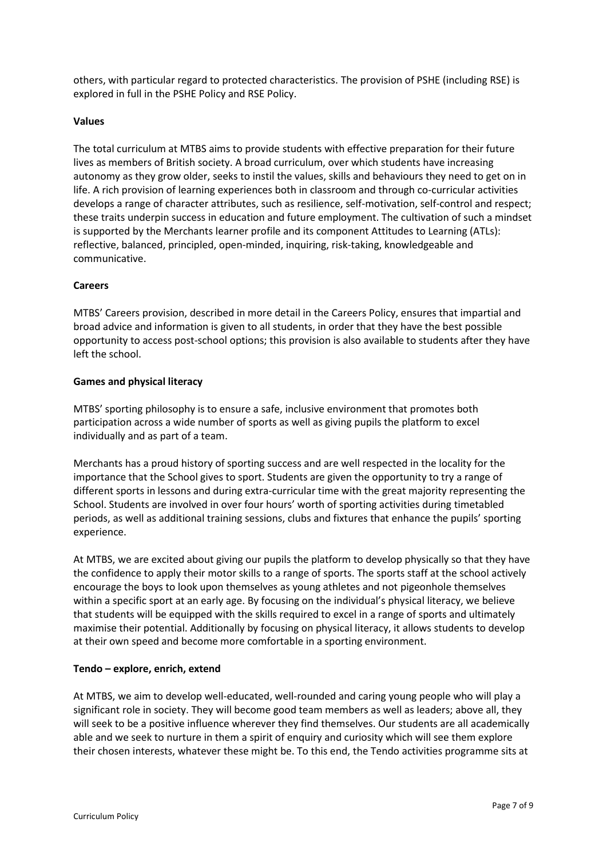others, with particular regard to protected characteristics. The provision of PSHE (including RSE) is explored in full in the PSHE Policy and RSE Policy.

### **Values**

The total curriculum at MTBS aims to provide students with effective preparation for their future lives as members of British society. A broad curriculum, over which students have increasing autonomy as they grow older, seeks to instil the values, skills and behaviours they need to get on in life. A rich provision of learning experiences both in classroom and through co-curricular activities develops a range of character attributes, such as resilience, self-motivation, self-control and respect; these traits underpin success in education and future employment. The cultivation of such a mindset is supported by the Merchants learner profile and its component Attitudes to Learning (ATLs): reflective, balanced, principled, open-minded, inquiring, risk-taking, knowledgeable and communicative.

### **Careers**

MTBS' Careers provision, described in more detail in the Careers Policy, ensures that impartial and broad advice and information is given to all students, in order that they have the best possible opportunity to access post-school options; this provision is also available to students after they have left the school.

### **Games and physical literacy**

MTBS' sporting philosophy is to ensure a safe, inclusive environment that promotes both participation across a wide number of sports as well as giving pupils the platform to excel individually and as part of a team.

Merchants has a proud history of sporting success and are well respected in the locality for the importance that the School gives to sport. Students are given the opportunity to try a range of different sports in lessons and during extra-curricular time with the great majority representing the School. Students are involved in over four hours' worth of sporting activities during timetabled periods, as well as additional training sessions, clubs and fixtures that enhance the pupils' sporting experience.

At MTBS, we are excited about giving our pupils the platform to develop physically so that they have the confidence to apply their motor skills to a range of sports. The sports staff at the school actively encourage the boys to look upon themselves as young athletes and not pigeonhole themselves within a specific sport at an early age. By focusing on the individual's physical literacy, we believe that students will be equipped with the skills required to excel in a range of sports and ultimately maximise their potential. Additionally by focusing on physical literacy, it allows students to develop at their own speed and become more comfortable in a sporting environment.

# **Tendo – explore, enrich, extend**

At MTBS, we aim to develop well-educated, well-rounded and caring young people who will play a significant role in society. They will become good team members as well as leaders; above all, they will seek to be a positive influence wherever they find themselves. Our students are all academically able and we seek to nurture in them a spirit of enquiry and curiosity which will see them explore their chosen interests, whatever these might be. To this end, the Tendo activities programme sits at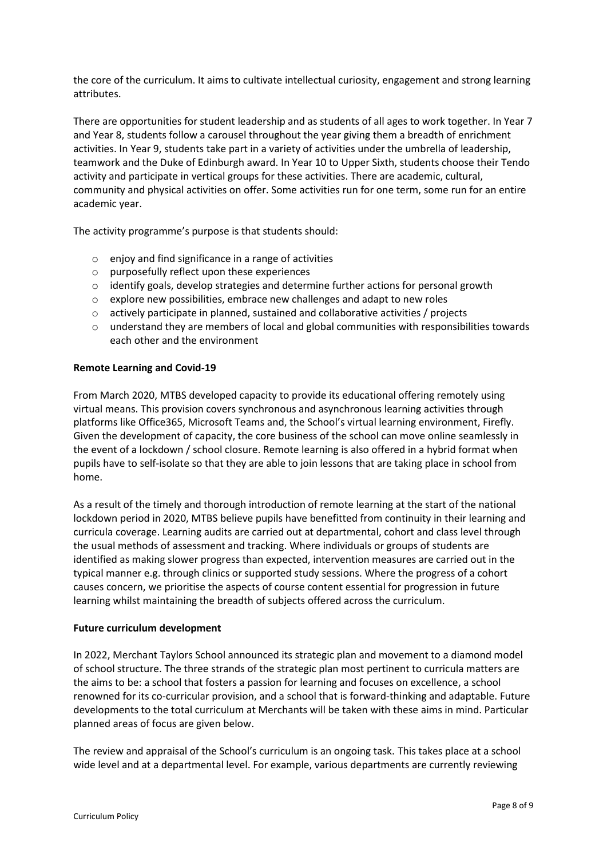the core of the curriculum. It aims to cultivate intellectual curiosity, engagement and strong learning attributes.

There are opportunities for student leadership and as students of all ages to work together. In Year 7 and Year 8, students follow a carousel throughout the year giving them a breadth of enrichment activities. In Year 9, students take part in a variety of activities under the umbrella of leadership, teamwork and the Duke of Edinburgh award. In Year 10 to Upper Sixth, students choose their Tendo activity and participate in vertical groups for these activities. There are academic, cultural, community and physical activities on offer. Some activities run for one term, some run for an entire academic year.

The activity programme's purpose is that students should:

- o enjoy and find significance in a range of activities
- o purposefully reflect upon these experiences
- $\circ$  identify goals, develop strategies and determine further actions for personal growth
- $\circ$  explore new possibilities, embrace new challenges and adapt to new roles
- o actively participate in planned, sustained and collaborative activities / projects
- o understand they are members of local and global communities with responsibilities towards each other and the environment

#### **Remote Learning and Covid-19**

From March 2020, MTBS developed capacity to provide its educational offering remotely using virtual means. This provision covers synchronous and asynchronous learning activities through platforms like Office365, Microsoft Teams and, the School's virtual learning environment, Firefly. Given the development of capacity, the core business of the school can move online seamlessly in the event of a lockdown / school closure. Remote learning is also offered in a hybrid format when pupils have to self-isolate so that they are able to join lessons that are taking place in school from home.

As a result of the timely and thorough introduction of remote learning at the start of the national lockdown period in 2020, MTBS believe pupils have benefitted from continuity in their learning and curricula coverage. Learning audits are carried out at departmental, cohort and class level through the usual methods of assessment and tracking. Where individuals or groups of students are identified as making slower progress than expected, intervention measures are carried out in the typical manner e.g. through clinics or supported study sessions. Where the progress of a cohort causes concern, we prioritise the aspects of course content essential for progression in future learning whilst maintaining the breadth of subjects offered across the curriculum.

#### **Future curriculum development**

In 2022, Merchant Taylors School announced its strategic plan and movement to a diamond model of school structure. The three strands of the strategic plan most pertinent to curricula matters are the aims to be: a school that fosters a passion for learning and focuses on excellence, a school renowned for its co-curricular provision, and a school that is forward-thinking and adaptable. Future developments to the total curriculum at Merchants will be taken with these aims in mind. Particular planned areas of focus are given below.

The review and appraisal of the School's curriculum is an ongoing task. This takes place at a school wide level and at a departmental level. For example, various departments are currently reviewing